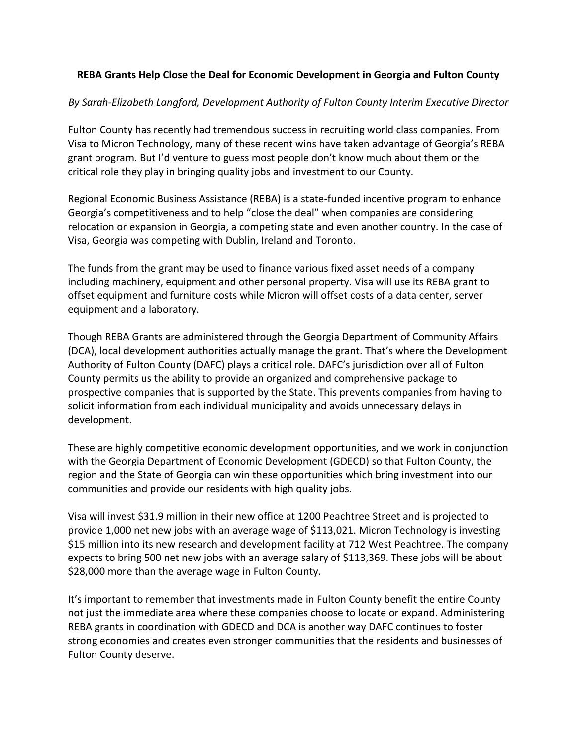## **REBA Grants Help Close the Deal for Economic Development in Georgia and Fulton County**

## *By Sarah-Elizabeth Langford, Development Authority of Fulton County Interim Executive Director*

Fulton County has recently had tremendous success in recruiting world class companies. From Visa to Micron Technology, many of these recent wins have taken advantage of Georgia's REBA grant program. But I'd venture to guess most people don't know much about them or the critical role they play in bringing quality jobs and investment to our County.

Regional Economic Business Assistance (REBA) is a state-funded incentive program to enhance Georgia's competitiveness and to help "close the deal" when companies are considering relocation or expansion in Georgia, a competing state and even another country. In the case of Visa, Georgia was competing with Dublin, Ireland and Toronto.

The funds from the grant may be used to finance various fixed asset needs of a company including machinery, equipment and other personal property. Visa will use its REBA grant to offset equipment and furniture costs while Micron will offset costs of a data center, server equipment and a laboratory.

Though REBA Grants are administered through the Georgia Department of Community Affairs (DCA), local development authorities actually manage the grant. That's where the Development Authority of Fulton County (DAFC) plays a critical role. DAFC's jurisdiction over all of Fulton County permits us the ability to provide an organized and comprehensive package to prospective companies that is supported by the State. This prevents companies from having to solicit information from each individual municipality and avoids unnecessary delays in development.

These are highly competitive economic development opportunities, and we work in conjunction with the Georgia Department of Economic Development (GDECD) so that Fulton County, the region and the State of Georgia can win these opportunities which bring investment into our communities and provide our residents with high quality jobs.

Visa will invest \$31.9 million in their new office at 1200 Peachtree Street and is projected to provide 1,000 net new jobs with an average wage of \$113,021. Micron Technology is investing \$15 million into its new research and development facility at 712 West Peachtree. The company expects to bring 500 net new jobs with an average salary of \$113,369. These jobs will be about \$28,000 more than the average wage in Fulton County.

It's important to remember that investments made in Fulton County benefit the entire County not just the immediate area where these companies choose to locate or expand. Administering REBA grants in coordination with GDECD and DCA is another way DAFC continues to foster strong economies and creates even stronger communities that the residents and businesses of Fulton County deserve.